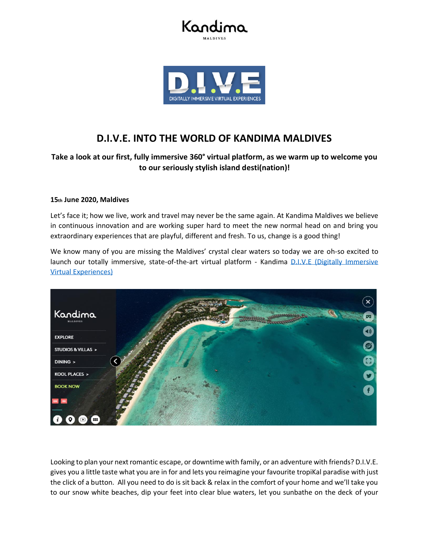



# **D.I.V.E. INTO THE WORLD OF KANDIMA MALDIVES**

# **Take a look at our first, fully immersive 360° virtual platform, as we warm up to welcome you to our seriously stylish island desti(nation)!**

# **15th June 2020, Maldives**

Let's face it; how we live, work and travel may never be the same again. At Kandima Maldives we believe in continuous innovation and are working super hard to meet the new normal head on and bring you extraordinary experiences that are playful, different and fresh. To us, change is a good thing!

We know many of you are missing the Maldives' crystal clear waters so today we are oh-so excited to launch our totally immersive, state-of-the-art virtual platform - Kandima D.I.V.E (Digitally Immersive [Virtual Experiences\)](http://kandima.com/index.php/en/kool-things/dive)



Looking to plan your next romantic escape, or downtime with family, or an adventure with friends? D.I.V.E. gives you a little taste what you are in for and lets you reimagine your favourite tropiKal paradise with just the click of a button. All you need to do is sit back & relax in the comfort of your home and we'll take you to our snow white beaches, dip your feet into clear blue waters, let you sunbathe on the deck of your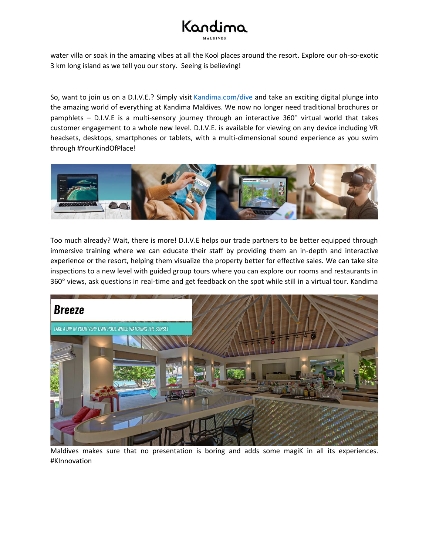

water villa or soak in the amazing vibes at all the Kool places around the resort. Explore our oh-so-exotic 3 km long island as we tell you our story. Seeing is believing!

So, want to join us on a D.I.V.E.? Simply visit [Kandima.com/dive](http://www.kandima.com/dive) and take an exciting digital plunge into the amazing world of everything at Kandima Maldives. We now no longer need traditional brochures or pamphlets – D.I.V.E is a multi-sensory journey through an interactive  $360^\circ$  virtual world that takes customer engagement to a whole new level. D.I.V.E. is available for viewing on any device including VR headsets, desktops, smartphones or tablets, with a multi-dimensional sound experience as you swim through #YourKindOfPlace!



Too much already? Wait, there is more! D.I.V.E helps our trade partners to be better equipped through immersive training where we can educate their staff by providing them an in-depth and interactive experience or the resort, helping them visualize the property better for effective sales. We can take site inspections to a new level with guided group tours where you can explore our rooms and restaurants in 360° views, ask questions in real-time and get feedback on the spot while still in a virtual tour. Kandima



Maldives makes sure that no presentation is boring and adds some magiK in all its experiences. #KInnovation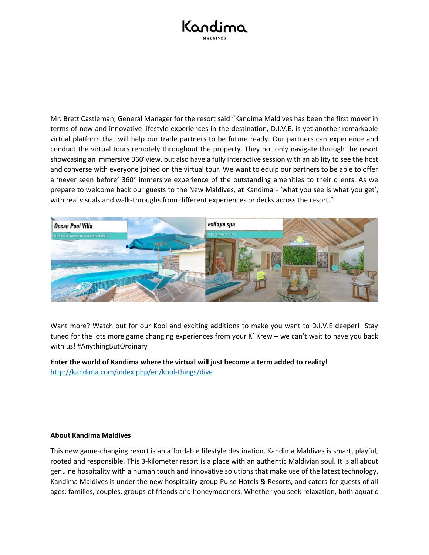

Mr. Brett Castleman, General Manager for the resort said "Kandima Maldives has been the first mover in terms of new and innovative lifestyle experiences in the destination, D.I.V.E. is yet another remarkable virtual platform that will help our trade partners to be future ready. Our partners can experience and conduct the virtual tours remotely throughout the property. They not only navigate through the resort showcasing an immersive 360°view, but also have a fully interactive session with an ability to see the host and converse with everyone joined on the virtual tour. We want to equip our partners to be able to offer a 'never seen before' 360° immersive experience of the outstanding amenities to their clients. As we prepare to welcome back our guests to the New Maldives, at Kandima - 'what you see is what you get', with real visuals and walk-throughs from different experiences or decks across the resort."



Want more? Watch out for our Kool and exciting additions to make you want to D.I.V.E deeper! Stay tuned for the lots more game changing experiences from your K' Krew – we can't wait to have you back with us! #AnythingButOrdinary

**Enter the world of Kandima where the virtual will just become a term added to reality!**  <http://kandima.com/index.php/en/kool-things/dive>

# **About Kandima Maldives**

This new game-changing resort is an affordable lifestyle destination. Kandima Maldives is smart, playful, rooted and responsible. This 3-kilometer resort is a place with an authentic Maldivian soul. It is all about genuine hospitality with a human touch and innovative solutions that make use of the latest technology. Kandima Maldives is under the new hospitality group Pulse Hotels & Resorts, and caters for guests of all ages: families, couples, groups of friends and honeymooners. Whether you seek relaxation, both aquatic